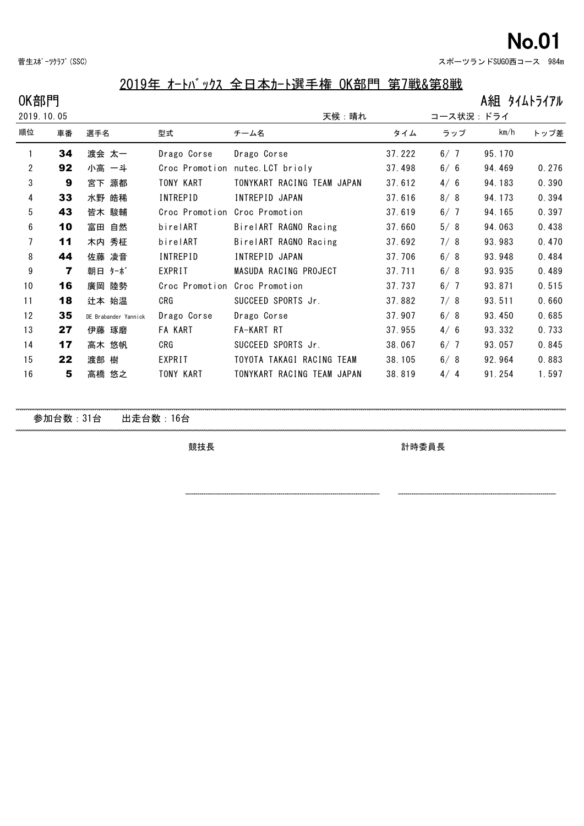| 菅生スポーツクラブ (SSC) |  |  |
|-----------------|--|--|
|-----------------|--|--|

## 2019年 オートバックス 全日本カート選手権 OK部門 第7戦&第8戦

| OK部門           |    |                      |                 |                                  |        |           | A組 タイムトライアル |       |
|----------------|----|----------------------|-----------------|----------------------------------|--------|-----------|-------------|-------|
| 2019.10.05     |    |                      |                 | 天候:晴れ                            |        | コース状況:ドライ |             |       |
| 順位             | 車番 | 選手名                  | 型式              | チーム名                             | タイム    | ラップ       | km/h        | トップ差  |
|                | 34 | 渡会 太一                | Drago Corse     | Drago Corse                      | 37.222 | 6/7       | 95.170      |       |
| $\overline{2}$ | 92 | 小高 一斗                |                 | Croc Promotion nutec. LCT brioly | 37.498 | 6/6       | 94.469      | 0.276 |
| 3              | 9  | 宮下 源都                | TONY KART       | TONYKART RACING TEAM JAPAN       | 37.612 | 4/6       | 94.183      | 0.390 |
| 4              | 33 | 水野 皓稀                | <b>INTREPID</b> | INTREPID JAPAN                   | 37.616 | 8/8       | 94.173      | 0.394 |
| 5              | 43 | 皆木 駿輔                | Croc Promotion  | Croc Promotion                   | 37.619 | 6/7       | 94.165      | 0.397 |
| 6              | 10 | 自然<br>富田             | birelART        | BirelART RAGNO Racing            | 37.660 | 5/8       | 94.063      | 0.438 |
| 7              | 11 | 木内 秀柾                | birelART        | BirelART RAGNO Racing            | 37.692 | 7/8       | 93.983      | 0.470 |
| 8              | 44 | 凌音<br>佐藤             | <b>INTREPID</b> | INTREPID JAPAN                   | 37.706 | 6/8       | 93.948      | 0.484 |
| 9              | 7  | 朝日 ターボ               | EXPRIT          | MASUDA RACING PROJECT            | 37.711 | 6/8       | 93.935      | 0.489 |
| 10             | 16 | 陸勢<br>廣岡             | Croc Promotion  | Croc Promotion                   | 37.737 | 6/7       | 93.871      | 0.515 |
| 11             | 18 | 辻本 始温                | CRG             | SUCCEED SPORTS Jr.               | 37.882 | 7/8       | 93.511      | 0.660 |
| 12             | 35 | DE Brabander Yannick | Drago Corse     | Drago Corse                      | 37.907 | 6/8       | 93.450      | 0.685 |
| 13             | 27 | 伊藤 琢磨                | <b>FA KART</b>  | FA-KART RT                       | 37.955 | 4/6       | 93.332      | 0.733 |
| 14             | 17 | 高木 悠帆                | CRG             | SUCCEED SPORTS Jr.               | 38.067 | 6/7       | 93.057      | 0.845 |
| 15             | 22 | 渡部 樹                 | EXPRIT          | TOYOTA TAKAGI RACING TEAM        | 38.105 | 6/8       | 92.964      | 0.883 |
|                |    |                      |                 |                                  |        |           |             |       |

**5** 高橋 悠之 TONY KART TONYKART RACING TEAM JAPAN 38.819 4/ 4 91.254 1.597

参加台数:31台 出走台数:16台

競技長 計時委員長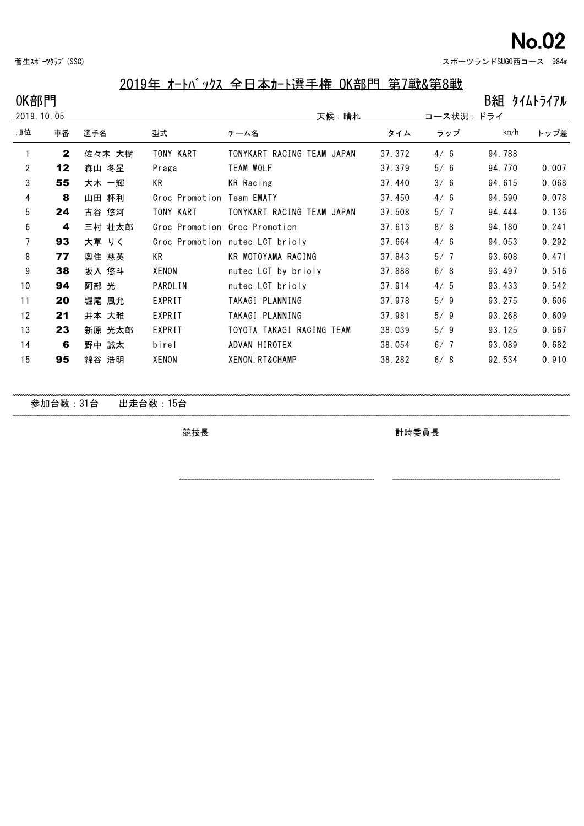菅生スポーツクラブ(SSC) ということのことには、その他には、このことには、このことには、このことには、このことには、このことには、このことには、 984m

# 2019年 オートバックス 全日本カート選手権 OK部門 第7戦&第8戦

| OK部門           |              |        |                |                                  |        |           | B組 タイムトライアル |       |
|----------------|--------------|--------|----------------|----------------------------------|--------|-----------|-------------|-------|
| 2019.10.05     |              |        |                | 天候:晴れ                            |        | コース状況:ドライ |             |       |
| 順位             | 車番           | 選手名    | 型式             | チーム名                             | タイム    | ラップ       | km/h        | トップ差  |
|                | $\mathbf{2}$ | 佐々木 大樹 | TONY KART      | TONYKART RACING TEAM JAPAN       | 37.372 | 4/6       | 94.788      |       |
| $\overline{2}$ | 12           | 森山 冬星  | Praga          | <b>TEAM WOLF</b>                 | 37.379 | 5/6       | 94.770      | 0.007 |
| 3              | 55           | 大木 一輝  | KR             | KR Racing                        | 37.440 | 3/6       | 94.615      | 0.068 |
| 4              | 8            | 山田 杯利  | Croc Promotion | Team EMATY                       | 37.450 | 4/6       | 94.590      | 0.078 |
| 5              | 24           | 古谷 悠河  | TONY KART      | TONYKART RACING TEAM JAPAN       | 37.508 | 5/7       | 94.444      | 0.136 |
| 6              | 4            | 三村 壮太郎 |                | Croc Promotion Croc Promotion    | 37.613 | 8/8       | 94.180      | 0.241 |
| 7              | 93           | 大草 りく  |                | Croc Promotion nutec. LCT brioly | 37.664 | 4/6       | 94.053      | 0.292 |
| 8              | 77           | 奥住 慈英  | KR             | KR MOTOYAMA RACING               | 37.843 | 5/7       | 93.608      | 0.471 |
| 9              | 38           | 坂入 悠斗  | XENON          | nutec LCT by brioly              | 37.888 | 6/8       | 93.497      | 0.516 |
| 10             | 94           | 阿部 光   | <b>PAROLIN</b> | nutec. LCT brioly                | 37.914 | 4/5       | 93.433      | 0.542 |
| 11             | 20           | 堀尾 風允  | EXPRIT         | TAKAGI PLANNING                  | 37.978 | 5/9       | 93.275      | 0.606 |
| 12             | 21           | 井本 大雅  | EXPRIT         | TAKAGI PLANNING                  | 37.981 | 5/9       | 93.268      | 0.609 |
| 13             | 23           | 新原 光太郎 | EXPRIT         | TOYOTA TAKAGI RACING TEAM        | 38.039 | 5/9       | 93.125      | 0.667 |
| 14             | 6            | 野中 誠太  | birel          | ADVAN HIROTEX                    | 38.054 | 6/7       | 93.089      | 0.682 |
| 15             | 95           | 綿谷 浩明  | XENON          | XENON. RT&CHAMP                  | 38.282 | 6/8       | 92.534      | 0.910 |
|                |              |        |                |                                  |        |           |             |       |
|                |              |        |                |                                  |        |           |             |       |

参加台数:31台 出走台数:15台

競技長 計時委員長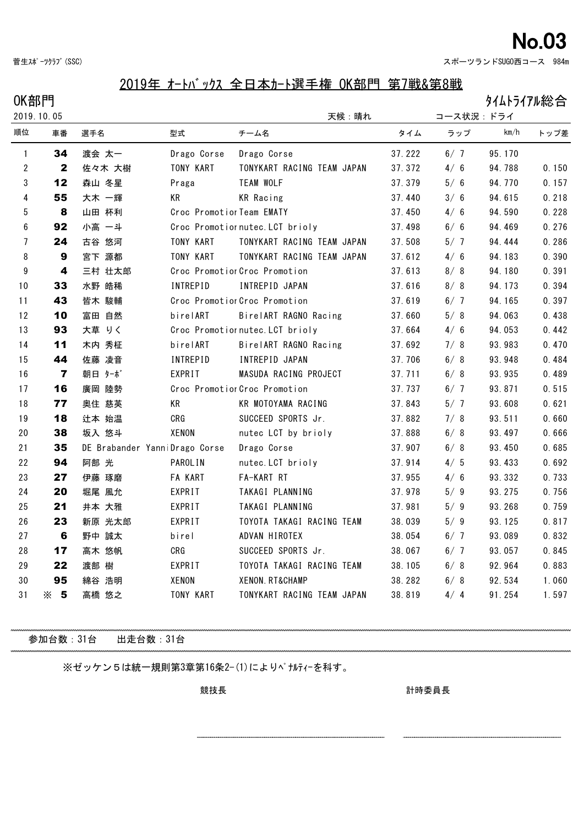菅生スポーツクラブ(SSC) ということのことには、その他には、このことには、このことには、このことには、このことには、このことには、そのことには、 984m

### 2019年 オートバックス 全日本カート選手権 OK部門 第7戦&第8戦

 $OK$ 部門 タイムトライアル総合

|                  | 000000<br>2019.10.05    |                               |                           | 天候:晴れ                           |        | コース状況:ドライ |        |       |  |
|------------------|-------------------------|-------------------------------|---------------------------|---------------------------------|--------|-----------|--------|-------|--|
| 順位               | 車番                      | 選手名                           | 型式                        | チーム名                            | タイム    | ラップ       | km/h   | トップ差  |  |
| 1                | 34                      | 渡会 太一                         | Drago Corse               | Drago Corse                     | 37.222 | 6/7       | 95.170 |       |  |
| $\overline{2}$   | $\mathbf{2}$            | 佐々木 大樹                        | TONY KART                 | TONYKART RACING TEAM JAPAN      | 37.372 | 4/6       | 94.788 | 0.150 |  |
| 3                | 12                      | 森山 冬星                         | Praga                     | <b>TEAM WOLF</b>                | 37.379 | 5/6       | 94.770 | 0.157 |  |
| 4                | 55                      | 大木 一輝                         | KR                        | <b>KR</b> Racing                | 37.440 | 3/6       | 94.615 | 0.218 |  |
| 5                | 8                       | 山田 杯利                         | Croc Promotior Team EMATY |                                 | 37.450 | 4/6       | 94.590 | 0.228 |  |
| $\boldsymbol{6}$ | 92                      | 小高 一斗                         |                           | Croc Promotiornutec. LCT brioly | 37.498 | 6/6       | 94.469 | 0.276 |  |
| $\overline{7}$   | 24                      | 古谷 悠河                         | TONY KART                 | TONYKART RACING TEAM JAPAN      | 37.508 | 5/7       | 94.444 | 0.286 |  |
| 8                | $\boldsymbol{9}$        | 宮下 源都                         | TONY KART                 | TONYKART RACING TEAM JAPAN      | 37.612 | 4/6       | 94.183 | 0.390 |  |
| $\boldsymbol{9}$ | $\overline{\mathbf{4}}$ | 三村 壮太郎                        |                           | Croc Promotior Croc Promotion   | 37.613 | 8/8       | 94.180 | 0.391 |  |
| 10               | 33                      | 水野 皓稀                         | <b>INTREPID</b>           | INTREPID JAPAN                  | 37.616 | 8/8       | 94.173 | 0.394 |  |
| 11               | 43                      | 皆木 駿輔                         |                           | Croc Promotior Croc Promotion   | 37.619 | 6/7       | 94.165 | 0.397 |  |
| 12               | 10                      | 富田 自然                         | birelART                  | BirelART RAGNO Racing           | 37.660 | 5/8       | 94.063 | 0.438 |  |
| 13               | 93                      | 大草 りく                         |                           | Croc Promotiornutec. LCT brioly | 37.664 | 4/6       | 94.053 | 0.442 |  |
| 14               | 11                      | 木内 秀柾                         | birelART                  | BirelART RAGNO Racing           | 37.692 | 7/8       | 93.983 | 0.470 |  |
| 15               | 44                      | 佐藤 凌音                         | INTREPID                  | INTREPID JAPAN                  | 37.706 | 6/8       | 93.948 | 0.484 |  |
| 16               | $\overline{\mathbf{z}}$ | 朝日 ターボ                        | EXPRIT                    | MASUDA RACING PROJECT           | 37.711 | 6/8       | 93.935 | 0.489 |  |
| 17               | 16                      | 廣岡 陸勢                         |                           | Croc Promotior Croc Promotion   | 37.737 | 6/7       | 93.871 | 0.515 |  |
| 18               | 77                      | 奥住 慈英                         | KR                        | KR MOTOYAMA RACING              | 37.843 | 5/7       | 93.608 | 0.621 |  |
| 19               | 18                      | 辻本 始温                         | CRG                       | SUCCEED SPORTS Jr.              | 37.882 | 7/8       | 93.511 | 0.660 |  |
| 20               | 38                      | 坂入 悠斗                         | XENON                     | nutec LCT by brioly             | 37.888 | 6/8       | 93.497 | 0.666 |  |
| 21               | 35                      | DE Brabander YanniDrago Corse |                           | Drago Corse                     | 37.907 | 6/8       | 93.450 | 0.685 |  |
| 22               | 94                      | 阿部 光                          | <b>PAROLIN</b>            | nutec. LCT brioly               | 37.914 | 4/5       | 93.433 | 0.692 |  |
| 23               | 27                      | 伊藤 琢磨                         | <b>FA KART</b>            | FA-KART RT                      | 37.955 | 4/6       | 93.332 | 0.733 |  |
| 24               | 20                      | 堀尾 風允                         | EXPRIT                    | TAKAGI PLANNING                 | 37.978 | 5/9       | 93.275 | 0.756 |  |
| 25               | 21                      | 井本 大雅                         | EXPRIT                    | TAKAGI PLANNING                 | 37.981 | 5/9       | 93.268 | 0.759 |  |
| 26               | 23                      | 新原 光太郎                        | EXPRIT                    | TOYOTA TAKAGI RACING TEAM       | 38.039 | 5/9       | 93.125 | 0.817 |  |
| 27               | 6                       | 野中 誠太                         | birel                     | ADVAN HIROTEX                   | 38.054 | 6/7       | 93.089 | 0.832 |  |
| 28               | 17                      | 高木 悠帆                         | CRG                       | SUCCEED SPORTS Jr.              | 38.067 | 6/7       | 93.057 | 0.845 |  |
| 29               | 22                      | 渡部 樹                          | EXPRIT                    | TOYOTA TAKAGI RACING TEAM       | 38.105 | 6/8       | 92.964 | 0.883 |  |
| 30               | 95                      | 綿谷 浩明                         | XENON                     | XENON. RT&CHAMP                 | 38.282 | 6/8       | 92.534 | 1.060 |  |
| 31               | $\times$ 5              | 高橋 悠之                         | TONY KART                 | TONYKART RACING TEAM JAPAN      | 38.819 | 4/4       | 91.254 | 1.597 |  |

参加台数:31台 出走台数:31台

※ゼッケン5は統一規則第3章第16条2-(1)によりペナルティーを科す。

競技長 計時委員長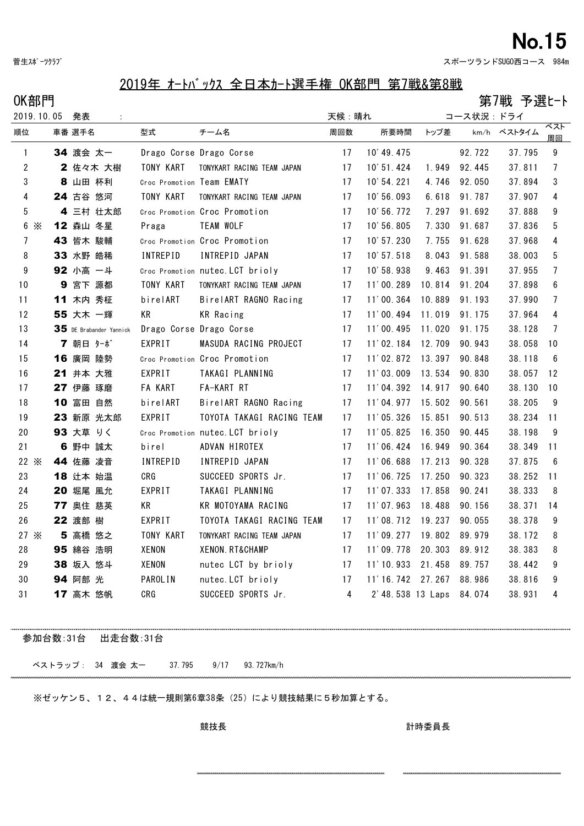菅生スポーツクラブ スポーツランドSUGO西コース 984m

### 2019年 オートバックス 全日本カート選手権 OK部門 第7戦&第8戦

 $OK部門$  . The contraction of the contraction of the contraction of the contraction of the contraction of the contraction of the contraction of the contraction of the contraction of the contraction of the contraction of the

| 2019.10.05      | 発表                      |                           |                                  | 天候:晴れ |                          |        | コース状況:ドライ |             |                |
|-----------------|-------------------------|---------------------------|----------------------------------|-------|--------------------------|--------|-----------|-------------|----------------|
| 順位              | 車番 選手名                  | 型式                        | チーム名                             | 周回数   | 所要時間                     | トップ差   |           | km/h ベストタイム | ベスト<br>周回      |
| $\mathbf{1}$    | 34 渡会 太一                |                           | Drago Corse Drago Corse          | 17    | 10' 49.475               |        | 92.722    | 37.795      | 9              |
| $\mathbf{2}$    | 2 佐々木 大樹                | TONY KART                 | TONYKART RACING TEAM JAPAN       | 17    | 10' 51.424               | 1.949  | 92.445    | 37.811      | $\overline{7}$ |
| 3               | 8 山田 杯利                 | Croc Promotion Team EMATY |                                  | 17    | 10' 54. 221              | 4.746  | 92.050    | 37.894      | 3              |
| 4               | 24 古谷 悠河                | TONY KART                 | TONYKART RACING TEAM JAPAN       | 17    | 10' 56.093               | 6.618  | 91.787    | 37.907      | 4              |
| 5               | 4 三村 壮太郎                |                           | Croc Promotion Croc Promotion    | 17    | 10' 56.772               | 7.297  | 91.692    | 37.888      | 9              |
| $6 \times$      | 12 森山 冬星                | Praga                     | <b>TEAM WOLF</b>                 | 17    | 10' 56.805               | 7.330  | 91.687    | 37.836      | 5              |
| 7               | 43 皆木 駿輔                |                           | Croc Promotion Croc Promotion    | 17    | 10' 57.230               | 7.755  | 91.628    | 37.968      | 4              |
| 8               | 33 水野 皓稀                | <b>INTREPID</b>           | INTREPID JAPAN                   | 17    | 10' 57.518               | 8.043  | 91.588    | 38.003      | 5              |
| 9               | 92 小高 一斗                |                           | Croc Promotion nutec. LCT brioly | 17    | 10'58.938                | 9.463  | 91.391    | 37.955      | $\overline{7}$ |
| 10 <sup>°</sup> | 9 宮下 源都                 | TONY KART                 | TONYKART RACING TEAM JAPAN       | 17    | 11'00.289                | 10.814 | 91.204    | 37.898      | 6              |
| 11              | 11 木内 秀柾                | birelART                  | BirelART RAGNO Racing            | 17    | 11'00.364                | 10.889 | 91.193    | 37.990      | $\overline{7}$ |
| 12              | 55 大木 一輝                | KR                        | <b>KR</b> Racing                 | 17    | 11'00.494                | 11.019 | 91.175    | 37.964      | 4              |
| 13              | 35 DE Brabander Yannick | Drago Corse Drago Corse   |                                  | 17    | 11'00.495                | 11.020 | 91.175    | 38.128      | 7              |
| 14              | 7 朝日 ターボ                | EXPRIT                    | MASUDA RACING PROJECT            | 17    | 11'02.184                | 12.709 | 90.943    | 38.058      | 10             |
| 15              | 16 廣岡 陸勢                |                           | Croc Promotion Croc Promotion    | 17    | 11'02.872                | 13.397 | 90.848    | 38.118      | 6              |
| 16              | 21 井本 大雅                | EXPRIT                    | TAKAGI PLANNING                  | 17    | 11'03.009                | 13.534 | 90.830    | 38.057      | 12             |
| 17              | 27 伊藤 琢磨                | FA KART                   | FA-KART RT                       | 17    | 11'04.392                | 14.917 | 90.640    | 38.130      | 10             |
| 18              | 10 富田 自然                | birelART                  | BirelART RAGNO Racing            | 17    | 11'04.977                | 15.502 | 90.561    | 38.205      | 9              |
| 19              | 23 新原 光太郎               | EXPRIT                    | TOYOTA TAKAGI RACING TEAM        | 17    | 11'05.326                | 15.851 | 90.513    | 38.234      | 11             |
| 20              | 93 大草 りく                |                           | Croc Promotion nutec. LCT brioly | 17    | 11'05.825                | 16.350 | 90.445    | 38.198      | 9              |
| 21              | 6 野中 誠太                 | birel                     | ADVAN HIROTEX                    | 17    | 11'06.424                | 16.949 | 90.364    | 38.349      | -11            |
| $22 \times$     | 44 佐藤 凌音                | <b>INTREPID</b>           | INTREPID JAPAN                   | 17    | 11'06.688                | 17.213 | 90.328    | 37.875      | -6             |
| 23              | 18 辻本 始温                | CRG                       | SUCCEED SPORTS Jr.               | 17    | 11'06.725                | 17.250 | 90.323    | 38.252      | 11             |
| 24              | 20 堀尾 風允                | EXPRIT                    | TAKAGI PLANNING                  | 17    | 11'07.333                | 17.858 | 90.241    | 38.333      | 8              |
| 25              | 77 奥住 慈英                | KR                        | KR MOTOYAMA RACING               | 17    | $11'$ 07.963             | 18.488 | 90.156    | 38.371      | 14             |
| 26              | 22 渡部 樹                 | EXPRIT                    | TOYOTA TAKAGI RACING TEAM        | 17    | 11'08.712                | 19.237 | 90.055    | 38.378      | 9              |
| $27 \times$     | 5 高橋 悠之                 | TONY KART                 | TONYKART RACING TEAM JAPAN       | 17    | 11'09.277                | 19.802 | 89.979    | 38.172      | 8              |
| 28              | 95 綿谷 浩明                | XENON                     | <b>XENON. RT&amp;CHAMP</b>       | 17    | 11'09.778                | 20.303 | 89.912    | 38.383      | 8              |
| 29              | 38 坂入 悠斗                | XENON                     | nutec LCT by brioly              | 17    | 11'10.933 21.458         |        | 89.757    | 38.442      | 9              |
| 30              | 94 阿部 光                 | <b>PAROLIN</b>            | nutec. LCT brioly                | 17    | 11'16.742 27.267         |        | 88.986    | 38.816      | 9              |
| 31              | 17 高木 悠帆                | CRG                       | SUCCEED SPORTS Jr.               | 4     | 2' 48.538 13 Laps 84.074 |        |           | 38.931      | 4              |

参加台数:31台 出走台数:31台

ベストラップ: 34 渡会 太一 37.795 9/17 93.727km/h

※ゼッケン5、12、44は統一規則第6章38条(25)により競技結果に5秒加算とする。

競技長 計時委員長